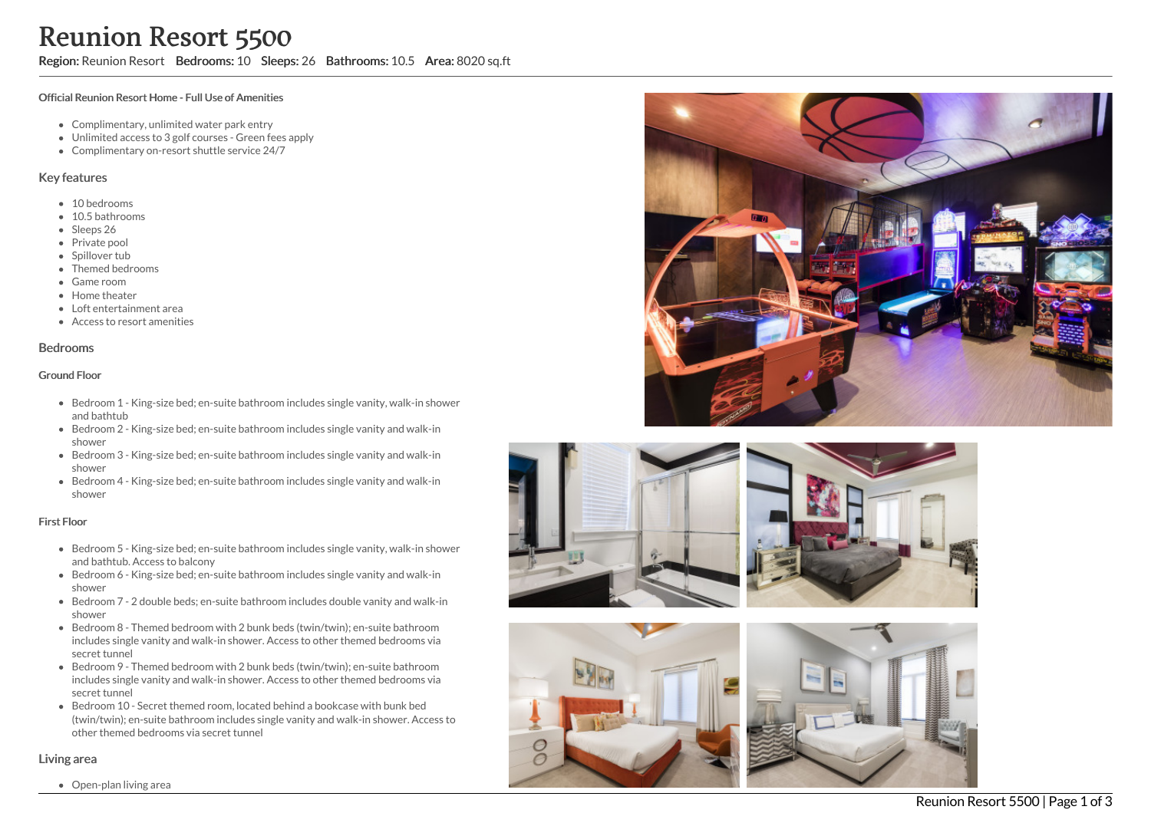Region: Reunion Resort Bedrooms: 10 Sleeps: 26 Bathrooms: 10.5 Area: 8020 sq.ft

### Official Reunion Resort Home - Full Use of Amenities

- Complimentary, unlimited water park entry
- Unlimited access to 3 golf courses Green fees apply
- Complimentary on-resort shuttle service 24/7

### Key features

- 10 bedrooms
- 10.5 bathrooms
- Sleeps 26
- Private pool
- Spillover tub
- Themed bedrooms
- Game room
- Home theater
- Loft entertainment area
- Access to resort amenities

### Bedrooms

### Ground Floor

- Bedroom 1 King-size bed; en-suite bathroom includes single vanity, walk-in shower and bathtub
- Bedroom 2 King-size bed; en-suite bathroom includes single vanity and walk-in shower
- Bedroom 3 King-size bed; en-suite bathroom includes single vanity and walk-in shower
- Bedroom 4 King-size bed; en-suite bathroom includes single vanity and walk-in shower

#### First Floor

- Bedroom 5 King-size bed; en-suite bathroom includes single vanity, walk-in shower and bathtub. Access to balcony
- Bedroom 6 King-size bed; en-suite bathroom includes single vanity and walk-in shower
- Bedroom 7 2 double beds; en-suite bathroom includes double vanity and walk-in shower
- Bedroom 8 Themed bedroom with 2 bunk beds (twin/twin); en-suite bathroom includes single vanity and walk-in shower. Access to other themed bedrooms via secret tunnel
- Bedroom 9 Themed bedroom with 2 bunk beds (twin/twin); en-suite bathroom includes single vanity and walk-in shower. Access to other themed bedrooms via secret tunnel
- Bedroom 10 Secret themed room, located behind a bookcase with bunk bed (twin/twin); en-suite bathroom includes single vanity and walk-in shower. Access to other themed bedrooms via secret tunnel











## Living area

Open-plan living area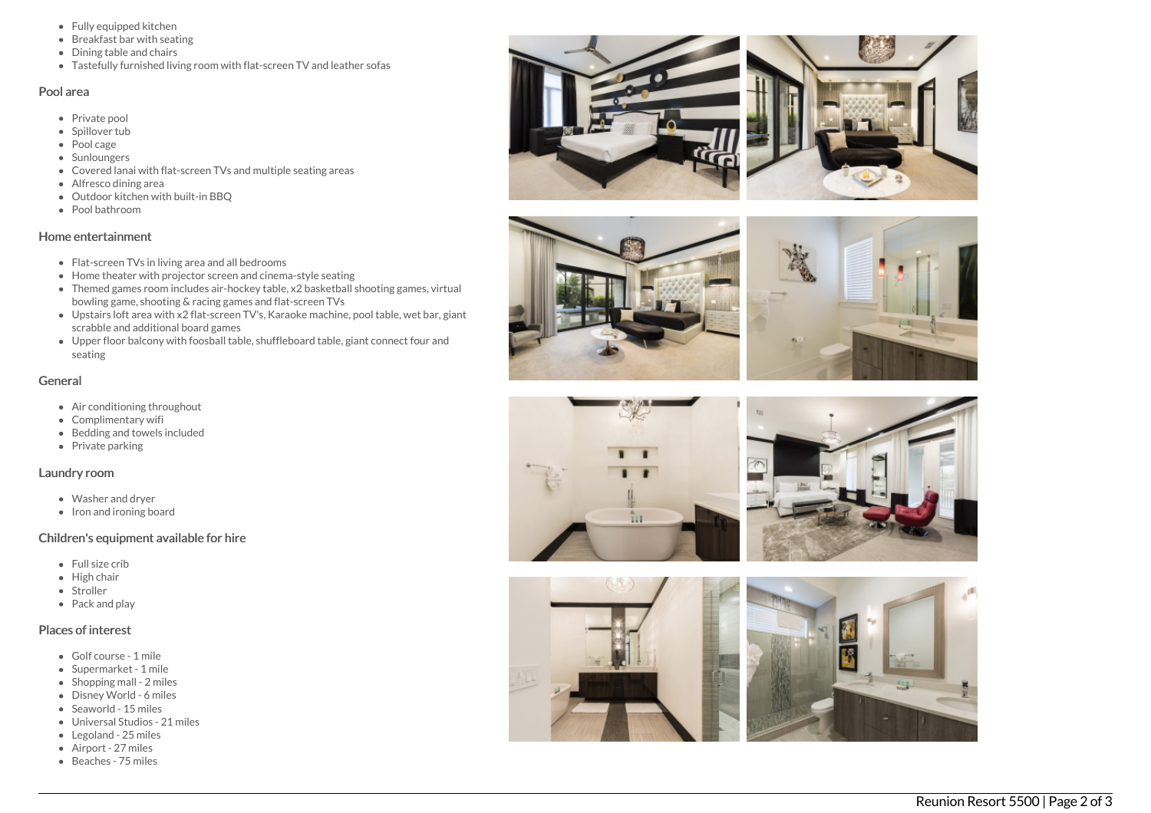- Fully equipped kitchen
- Breakfast bar with seating
- Dining table and chairs
- Tastefully furnished living room with flat-screen TV and leather sofas

### Pool area

- Private pool
- Spillover tub
- Pool cage
- Sunloungers
- Covered lanai with flat-screen TVs and multiple seating areas
- Alfresco dining area
- Outdoor kitchen with built-in BBQ
- Pool bathroom

## Home entertainment

- Flat-screen TVs in living area and all bedrooms
- Home theater with projector screen and cinema-style seating
- Themed games room includes air-hockey table, x2 basketball shooting games, virtual bowling game, shooting & racing games and flat-screen TVs
- Upstairs loft area with x2 flat-screen TV's, Karaoke machine, pool table, wet bar, gian t scrabble and additional board games
- Upper floor balcony with foosball table, shuffleboard table, giant connect four and s e a tin g

# General

- Air conditioning throughout
- Complimentary wifi
- Bedding and towels in clu d e d
- Private parking

## Laundry room

- Washer and dryer
- Iron and ironing board

# Children's equipment available for hire

- F ull siz e c rib
- Hig h c h air
- S t r olle r
- Pack and play

# Places of interest

- Golf course 1 mile
- Supermarket 1 mile
- Shopping mall 2 miles
- Disney World 6 miles
- Seaworld 15 miles
- Universal Studios 21 miles
- Legoland 25 miles
- Airport 27 miles
- Beaches 75 miles